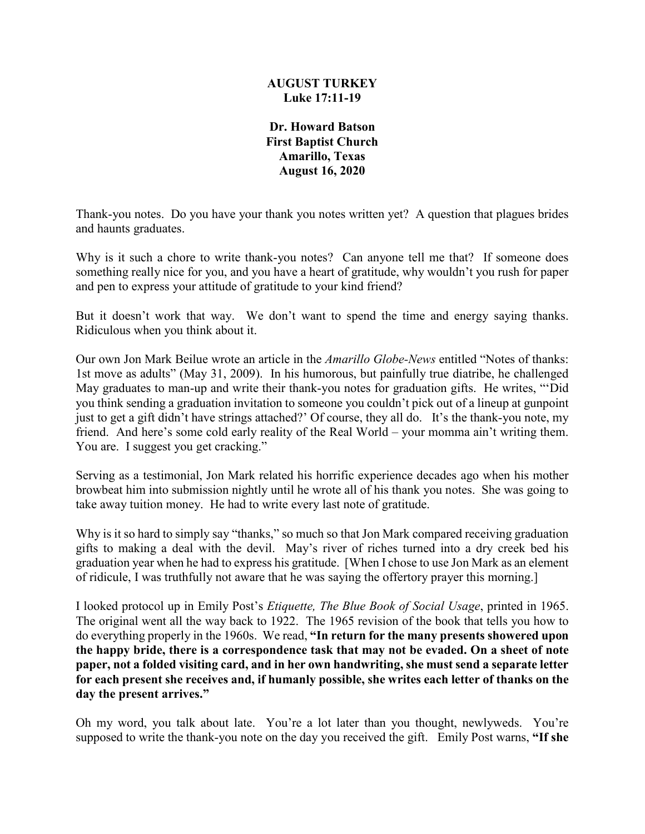## **AUGUST TURKEY Luke 17:11-19**

**Dr. Howard Batson First Baptist Church Amarillo, Texas August 16, 2020**

Thank-you notes. Do you have your thank you notes written yet? A question that plagues brides and haunts graduates.

Why is it such a chore to write thank-you notes? Can anyone tell me that? If someone does something really nice for you, and you have a heart of gratitude, why wouldn't you rush for paper and pen to express your attitude of gratitude to your kind friend?

But it doesn't work that way. We don't want to spend the time and energy saying thanks. Ridiculous when you think about it.

Our own Jon Mark Beilue wrote an article in the *Amarillo Globe-News* entitled "Notes of thanks: 1st move as adults" (May 31, 2009). In his humorous, but painfully true diatribe, he challenged May graduates to man-up and write their thank-you notes for graduation gifts. He writes, "'Did you think sending a graduation invitation to someone you couldn't pick out of a lineup at gunpoint just to get a gift didn't have strings attached?' Of course, they all do. It's the thank-you note, my friend. And here's some cold early reality of the Real World – your momma ain't writing them. You are. I suggest you get cracking."

Serving as a testimonial, Jon Mark related his horrific experience decades ago when his mother browbeat him into submission nightly until he wrote all of his thank you notes. She was going to take away tuition money. He had to write every last note of gratitude.

Why is it so hard to simply say "thanks," so much so that Jon Mark compared receiving graduation gifts to making a deal with the devil. May's river of riches turned into a dry creek bed his graduation year when he had to express his gratitude. [When I chose to use Jon Mark as an element of ridicule, I was truthfully not aware that he was saying the offertory prayer this morning.]

I looked protocol up in Emily Post's *Etiquette, The Blue Book of Social Usage*, printed in 1965. The original went all the way back to 1922. The 1965 revision of the book that tells you how to do everything properly in the 1960s. We read, **"In return for the many presents showered upon the happy bride, there is a correspondence task that may not be evaded. On a sheet of note paper, not a folded visiting card, and in her own handwriting, she must send a separate letter for each present she receives and, if humanly possible, she writes each letter of thanks on the day the present arrives."** 

Oh my word, you talk about late. You're a lot later than you thought, newlyweds. You're supposed to write the thank-you note on the day you received the gift. Emily Post warns, **"If she**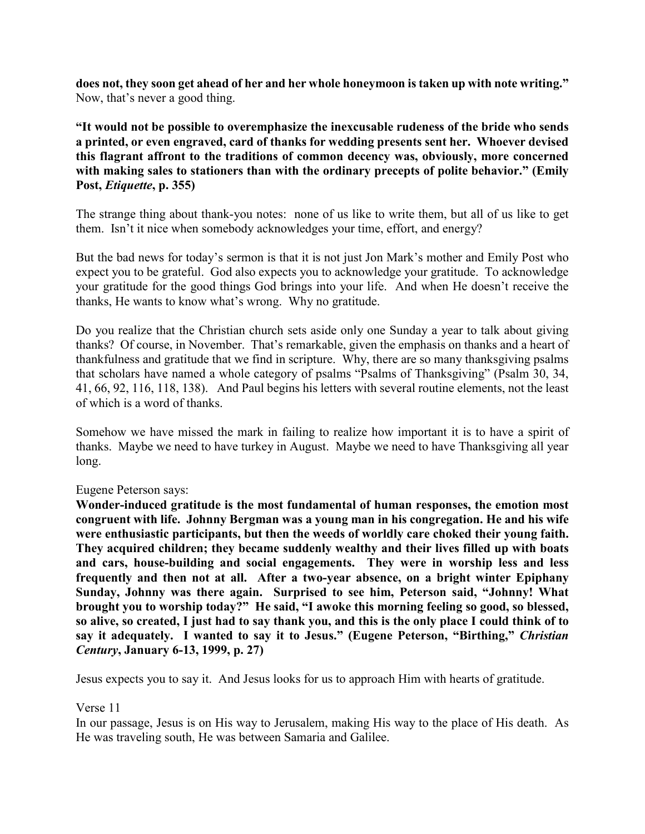**does not, they soon get ahead of her and her whole honeymoon is taken up with note writing."** Now, that's never a good thing.

**"It would not be possible to overemphasize the inexcusable rudeness of the bride who sends a printed, or even engraved, card of thanks for wedding presents sent her. Whoever devised this flagrant affront to the traditions of common decency was, obviously, more concerned with making sales to stationers than with the ordinary precepts of polite behavior." (Emily Post,** *Etiquette***, p. 355)**

The strange thing about thank-you notes: none of us like to write them, but all of us like to get them. Isn't it nice when somebody acknowledges your time, effort, and energy?

But the bad news for today's sermon is that it is not just Jon Mark's mother and Emily Post who expect you to be grateful. God also expects you to acknowledge your gratitude. To acknowledge your gratitude for the good things God brings into your life. And when He doesn't receive the thanks, He wants to know what's wrong. Why no gratitude.

Do you realize that the Christian church sets aside only one Sunday a year to talk about giving thanks? Of course, in November. That's remarkable, given the emphasis on thanks and a heart of thankfulness and gratitude that we find in scripture. Why, there are so many thanksgiving psalms that scholars have named a whole category of psalms "Psalms of Thanksgiving" (Psalm 30, 34, 41, 66, 92, 116, 118, 138). And Paul begins his letters with several routine elements, not the least of which is a word of thanks.

Somehow we have missed the mark in failing to realize how important it is to have a spirit of thanks. Maybe we need to have turkey in August. Maybe we need to have Thanksgiving all year long.

#### Eugene Peterson says:

**Wonder-induced gratitude is the most fundamental of human responses, the emotion most congruent with life. Johnny Bergman was a young man in his congregation. He and his wife were enthusiastic participants, but then the weeds of worldly care choked their young faith. They acquired children; they became suddenly wealthy and their lives filled up with boats and cars, house-building and social engagements. They were in worship less and less frequently and then not at all. After a two-year absence, on a bright winter Epiphany Sunday, Johnny was there again. Surprised to see him, Peterson said, "Johnny! What brought you to worship today?" He said, "I awoke this morning feeling so good, so blessed, so alive, so created, I just had to say thank you, and this is the only place I could think of to say it adequately. I wanted to say it to Jesus." (Eugene Peterson, "Birthing,"** *Christian Century***, January 6-13, 1999, p. 27)**

Jesus expects you to say it. And Jesus looks for us to approach Him with hearts of gratitude.

#### Verse 11

In our passage, Jesus is on His way to Jerusalem, making His way to the place of His death. As He was traveling south, He was between Samaria and Galilee.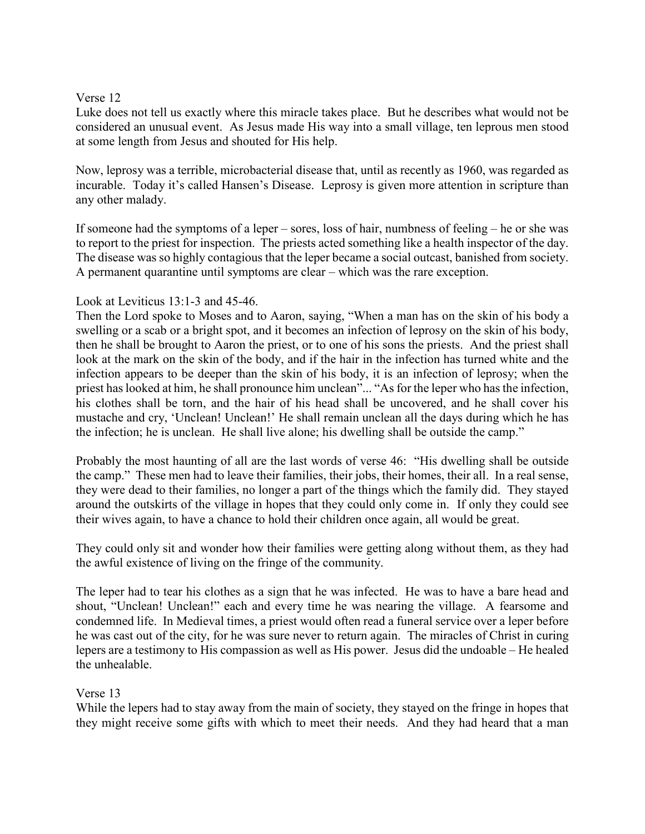### Verse 12

Luke does not tell us exactly where this miracle takes place. But he describes what would not be considered an unusual event. As Jesus made His way into a small village, ten leprous men stood at some length from Jesus and shouted for His help.

Now, leprosy was a terrible, microbacterial disease that, until as recently as 1960, was regarded as incurable. Today it's called Hansen's Disease. Leprosy is given more attention in scripture than any other malady.

If someone had the symptoms of a leper – sores, loss of hair, numbness of feeling – he or she was to report to the priest for inspection. The priests acted something like a health inspector of the day. The disease was so highly contagious that the leper became a social outcast, banished from society. A permanent quarantine until symptoms are clear – which was the rare exception.

## Look at Leviticus 13:1-3 and 45-46.

Then the Lord spoke to Moses and to Aaron, saying, "When a man has on the skin of his body a swelling or a scab or a bright spot, and it becomes an infection of leprosy on the skin of his body, then he shall be brought to Aaron the priest, or to one of his sons the priests. And the priest shall look at the mark on the skin of the body, and if the hair in the infection has turned white and the infection appears to be deeper than the skin of his body, it is an infection of leprosy; when the priest has looked at him, he shall pronounce him unclean"... "As for the leper who has the infection, his clothes shall be torn, and the hair of his head shall be uncovered, and he shall cover his mustache and cry, 'Unclean! Unclean!' He shall remain unclean all the days during which he has the infection; he is unclean. He shall live alone; his dwelling shall be outside the camp."

Probably the most haunting of all are the last words of verse 46: "His dwelling shall be outside the camp." These men had to leave their families, their jobs, their homes, their all. In a real sense, they were dead to their families, no longer a part of the things which the family did. They stayed around the outskirts of the village in hopes that they could only come in. If only they could see their wives again, to have a chance to hold their children once again, all would be great.

They could only sit and wonder how their families were getting along without them, as they had the awful existence of living on the fringe of the community.

The leper had to tear his clothes as a sign that he was infected. He was to have a bare head and shout, "Unclean! Unclean!" each and every time he was nearing the village. A fearsome and condemned life. In Medieval times, a priest would often read a funeral service over a leper before he was cast out of the city, for he was sure never to return again. The miracles of Christ in curing lepers are a testimony to His compassion as well as His power. Jesus did the undoable – He healed the unhealable.

# Verse 13

While the lepers had to stay away from the main of society, they stayed on the fringe in hopes that they might receive some gifts with which to meet their needs. And they had heard that a man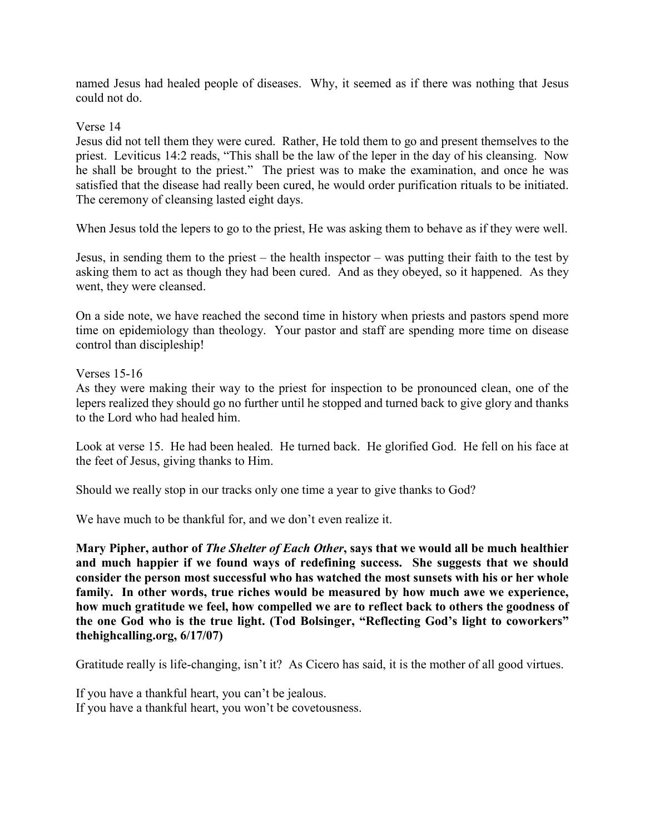named Jesus had healed people of diseases. Why, it seemed as if there was nothing that Jesus could not do.

Verse 14

Jesus did not tell them they were cured. Rather, He told them to go and present themselves to the priest. Leviticus 14:2 reads, "This shall be the law of the leper in the day of his cleansing. Now he shall be brought to the priest." The priest was to make the examination, and once he was satisfied that the disease had really been cured, he would order purification rituals to be initiated. The ceremony of cleansing lasted eight days.

When Jesus told the lepers to go to the priest, He was asking them to behave as if they were well.

Jesus, in sending them to the priest – the health inspector – was putting their faith to the test by asking them to act as though they had been cured. And as they obeyed, so it happened. As they went, they were cleansed.

On a side note, we have reached the second time in history when priests and pastors spend more time on epidemiology than theology. Your pastor and staff are spending more time on disease control than discipleship!

Verses 15-16

As they were making their way to the priest for inspection to be pronounced clean, one of the lepers realized they should go no further until he stopped and turned back to give glory and thanks to the Lord who had healed him.

Look at verse 15. He had been healed. He turned back. He glorified God. He fell on his face at the feet of Jesus, giving thanks to Him.

Should we really stop in our tracks only one time a year to give thanks to God?

We have much to be thankful for, and we don't even realize it.

**Mary Pipher, author of** *The Shelter of Each Other***, says that we would all be much healthier and much happier if we found ways of redefining success. She suggests that we should consider the person most successful who has watched the most sunsets with his or her whole family. In other words, true riches would be measured by how much awe we experience, how much gratitude we feel, how compelled we are to reflect back to others the goodness of the one God who is the true light. (Tod Bolsinger, "Reflecting God's light to coworkers" thehighcalling.org, 6/17/07)**

Gratitude really is life-changing, isn't it? As Cicero has said, it is the mother of all good virtues.

If you have a thankful heart, you can't be jealous. If you have a thankful heart, you won't be covetousness.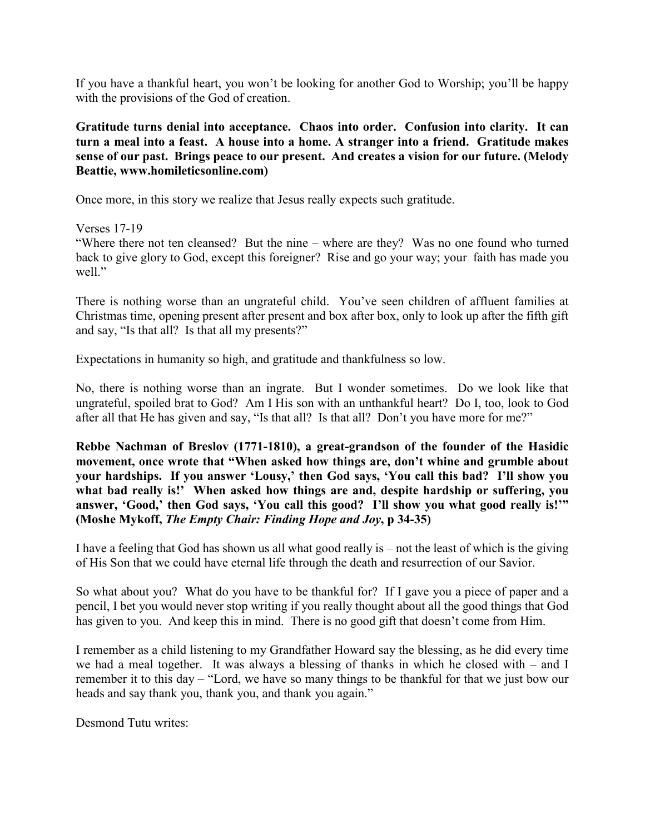If you have a thankful heart, you won't be looking for another God to Worship; you'll be happy with the provisions of the God of creation.

**Gratitude turns denial into acceptance. Chaos into order. Confusion into clarity. It can turn a meal into a feast. A house into a home. A stranger into a friend. Gratitude makes sense of our past. Brings peace to our present. And creates a vision for our future. (Melody Beattie, www.homileticsonline.com)**

Once more, in this story we realize that Jesus really expects such gratitude.

Verses 17-19

"Where there not ten cleansed? But the nine – where are they? Was no one found who turned back to give glory to God, except this foreigner? Rise and go your way; your faith has made you well."

There is nothing worse than an ungrateful child. You've seen children of affluent families at Christmas time, opening present after present and box after box, only to look up after the fifth gift and say, "Is that all? Is that all my presents?"

Expectations in humanity so high, and gratitude and thankfulness so low.

No, there is nothing worse than an ingrate. But I wonder sometimes. Do we look like that ungrateful, spoiled brat to God? Am I His son with an unthankful heart? Do I, too, look to God after all that He has given and say, "Is that all? Is that all? Don't you have more for me?"

**Rebbe Nachman of Breslov (1771-1810), a great-grandson of the founder of the Hasidic movement, once wrote that "When asked how things are, don't whine and grumble about your hardships. If you answer 'Lousy,' then God says, 'You call this bad? I'll show you**  what bad really is!' When asked how things are and, despite hardship or suffering, you **answer, 'Good,' then God says, 'You call this good? I'll show you what good really is!'" (Moshe Mykoff,** *The Empty Chair: Finding Hope and Joy***, p 34-35)**

I have a feeling that God has shown us all what good really is – not the least of which is the giving of His Son that we could have eternal life through the death and resurrection of our Savior.

So what about you? What do you have to be thankful for? If I gave you a piece of paper and a pencil, I bet you would never stop writing if you really thought about all the good things that God has given to you. And keep this in mind. There is no good gift that doesn't come from Him.

I remember as a child listening to my Grandfather Howard say the blessing, as he did every time we had a meal together. It was always a blessing of thanks in which he closed with – and I remember it to this day – "Lord, we have so many things to be thankful for that we just bow our heads and say thank you, thank you, and thank you again."

Desmond Tutu writes: